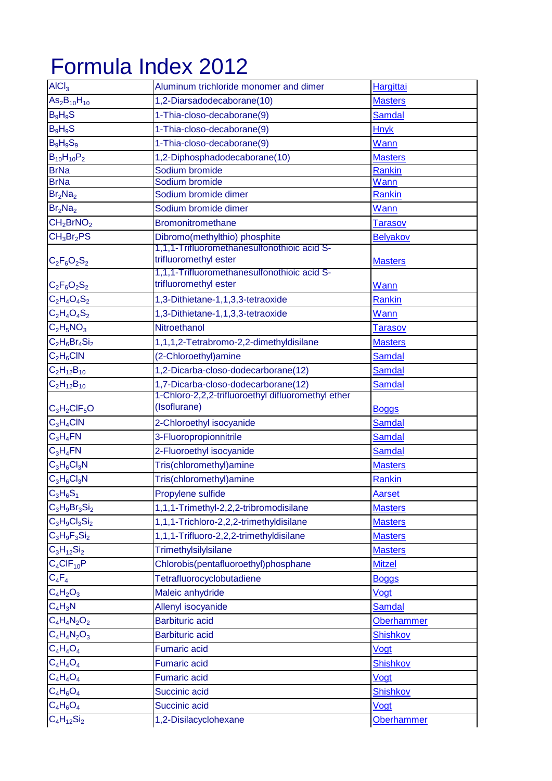## Formula Index 2012

| $\overline{AICI_3}$                | Aluminum trichloride monomer and dimer             | Hargittai         |
|------------------------------------|----------------------------------------------------|-------------------|
| $As2B10H10$                        | 1,2-Diarsadodecaborane(10)                         | <b>Masters</b>    |
| $B_9H_9S$                          | 1-Thia-closo-decaborane(9)                         | <b>Samdal</b>     |
| $B_9H_9S$                          | 1-Thia-closo-decaborane(9)                         | <b>Hnyk</b>       |
| $B_9H_9S_9$                        | 1-Thia-closo-decaborane(9)                         | Wann              |
| $B_{10}H_{10}P_2$                  | 1,2-Diphosphadodecaborane(10)                      | <b>Masters</b>    |
| <b>BrNa</b>                        | Sodium bromide                                     | <b>Rankin</b>     |
| <b>BrNa</b>                        | Sodium bromide                                     | Wann              |
| Br <sub>2</sub> Na <sub>2</sub>    | Sodium bromide dimer                               | <b>Rankin</b>     |
| Br <sub>2</sub> Na <sub>2</sub>    | Sodium bromide dimer                               | Wann              |
| CH <sub>2</sub> BrNO <sub>2</sub>  | <b>Bromonitromethane</b>                           | <b>Tarasov</b>    |
| CH <sub>3</sub> Br <sub>2</sub> PS | Dibromo(methylthio) phosphite                      | <b>Belyakov</b>   |
|                                    | 1,1,1-Trifluoromethanesulfonothioic acid S-        |                   |
| $C_2F_6O_2S_2$                     | trifluoromethyl ester                              | <b>Masters</b>    |
|                                    | 1,1,1-Trifluoromethanesulfonothioic acid S-        |                   |
| $C_2F_6O_2S_2$                     | trifluoromethyl ester                              | Wann              |
| $C_2H_4O_4S_2$                     | 1,3-Dithietane-1,1,3,3-tetraoxide                  | Rankin            |
| $C_2H_4O_4S_2$                     | 1,3-Dithietane-1,1,3,3-tetraoxide                  | Wann              |
| $C_2H_5NO_3$                       | Nitroethanol                                       | <b>Tarasov</b>    |
| $C_2H_6Br_4Si_2$                   | 1,1,1,2-Tetrabromo-2,2-dimethyldisilane            | <b>Masters</b>    |
| $C_2H_6CIN$                        | (2-Chloroethyl) amine                              | <b>Samdal</b>     |
| $C_2H_{12}B_{10}$                  | 1,2-Dicarba-closo-dodecarborane(12)                | <b>Samdal</b>     |
| $C_2H_{12}B_{10}$                  | 1,7-Dicarba-closo-dodecarborane(12)                | <b>Samdal</b>     |
|                                    | 1-Chloro-2,2,2-trifluoroethyl difluoromethyl ether |                   |
| $C_3H_2CIF_5O$                     | (Isoflurane)                                       | <b>Boggs</b>      |
| $C_3H_4CIN$                        | 2-Chloroethyl isocyanide                           | <b>Samdal</b>     |
| $C_3H_4FN$                         | 3-Fluoropropionnitrile                             | <b>Samdal</b>     |
| $C_3H_4FN$                         | 2-Fluoroethyl isocyanide                           | <b>Samdal</b>     |
| $C_3H_6Cl_3N$                      | Tris(chloromethyl)amine                            | <b>Masters</b>    |
| $C_3H_6Cl_3N$                      | Tris(chloromethyl)amine                            | Rankin            |
| $C_3H_6S_1$                        | Propylene sulfide                                  | Aarset            |
| $C_3H_9Br_3Si_2$                   | 1,1,1-Trimethyl-2,2,2-tribromodisilane             | <b>Masters</b>    |
| $C_3H_9Cl_3Si_2$                   | 1,1,1-Trichloro-2,2,2-trimethyldisilane            | <b>Masters</b>    |
| $C_3H_9F_3Si_2$                    | 1,1,1-Trifluoro-2,2,2-trimethyldisilane            | <b>Masters</b>    |
| $C_3H_{12}Si_2$                    | Trimethylsilylsilane                               | <b>Masters</b>    |
| $C_4CIF_{10}P$                     | Chlorobis(pentafluoroethyl)phosphane               | <b>Mitzel</b>     |
| $C_4F_4$                           | Tetrafluorocyclobutadiene                          | <b>Boggs</b>      |
| $C_4H_2O_3$                        | Maleic anhydride                                   | Vogt              |
| $C_4H_3N$                          | Allenyl isocyanide                                 | <b>Samdal</b>     |
| $C_4H_4N_2O_2$                     | <b>Barbituric acid</b>                             | <b>Oberhammer</b> |
| $C_4H_4N_2O_3$                     | <b>Barbituric acid</b>                             | <b>Shishkov</b>   |
| $C_4H_4O_4$                        | <b>Fumaric acid</b>                                | Vogt              |
| $C_4H_4O_4$                        | <b>Fumaric acid</b>                                | <b>Shishkov</b>   |
| $C_4H_4O_4$                        | <b>Fumaric acid</b>                                | Vogt              |
| $C_4H_6O_4$                        | Succinic acid                                      | <b>Shishkov</b>   |
|                                    |                                                    |                   |
| $C_4H_6O_4$                        | Succinic acid                                      | Vogt              |
| $C_4H_{12}Si_2$                    | 1,2-Disilacyclohexane                              | <b>Oberhammer</b> |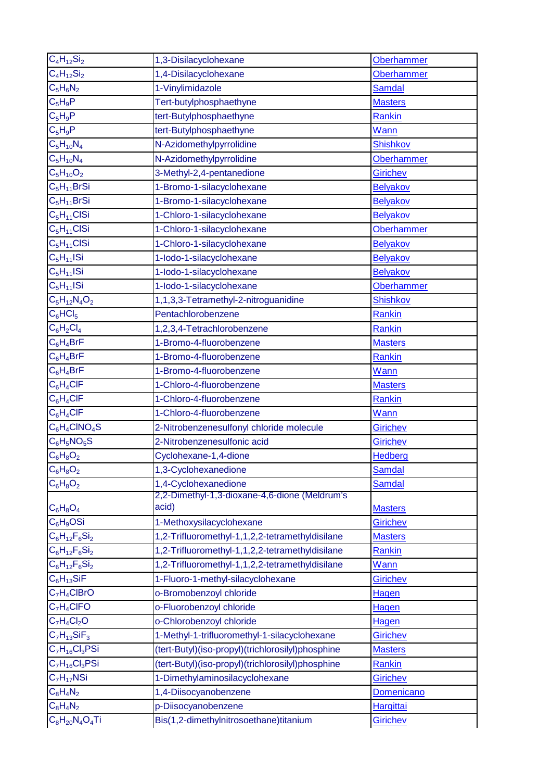| $C_4H_{12}Si_2$           | 1,3-Disilacyclohexane                             | <b>Oberhammer</b> |
|---------------------------|---------------------------------------------------|-------------------|
| $C_4H_{12}Si_2$           | 1,4-Disilacyclohexane                             | <b>Oberhammer</b> |
| $C_5H_6N_2$               | 1-Vinylimidazole                                  | <b>Samdal</b>     |
| $C_5H_9P$                 | Tert-butylphosphaethyne                           | <b>Masters</b>    |
| $C_5H_9P$                 | tert-Butylphosphaethyne                           | Rankin            |
| $C_5H_9P$                 | tert-Butylphosphaethyne                           | Wann              |
| $C_5H_{10}N_4$            | N-Azidomethylpyrrolidine                          | <b>Shishkov</b>   |
| $C_5H_{10}N_4$            | N-Azidomethylpyrrolidine                          | <b>Oberhammer</b> |
| $C_5H_{10}O_2$            | 3-Methyl-2,4-pentanedione                         | <b>Girichev</b>   |
| $C_5H_{11}BrSi$           | 1-Bromo-1-silacyclohexane                         | <b>Belyakov</b>   |
| $C_5H_{11}BrSi$           | 1-Bromo-1-silacyclohexane                         | Belyakov          |
| $C_5H_{11}CISi$           | 1-Chloro-1-silacyclohexane                        | <b>Belyakov</b>   |
| $C_5H_{11}CISi$           | 1-Chloro-1-silacyclohexane                        | <b>Oberhammer</b> |
| $C_5H_{11}CISi$           | 1-Chloro-1-silacyclohexane                        | Belyakov          |
| $C_5H_{11}$ ISi           | 1-lodo-1-silacyclohexane                          | <b>Belyakov</b>   |
| $C_5H_{11}$ ISi           | 1-lodo-1-silacyclohexane                          | Belyakov          |
| $\overline{C}_5H_{11}ISi$ | 1-lodo-1-silacyclohexane                          | <b>Oberhammer</b> |
| $C_5H_{12}N_4O_2$         | 1,1,3,3-Tetramethyl-2-nitroguanidine              | <b>Shishkov</b>   |
| $C_6$ HCl <sub>5</sub>    | Pentachlorobenzene                                | Rankin            |
| $C_6H_2Cl_4$              | 1,2,3,4-Tetrachlorobenzene                        | <b>Rankin</b>     |
| $C_6H_4BrF$               | 1-Bromo-4-fluorobenzene                           | <b>Masters</b>    |
| $C_6H_4BrF$               | 1-Bromo-4-fluorobenzene                           | Rankin            |
| $C_6H_4BrF$               | 1-Bromo-4-fluorobenzene                           | Wann              |
| $C_6H_4CIF$               | 1-Chloro-4-fluorobenzene                          | <b>Masters</b>    |
| $C_6H_4CIF$               | 1-Chloro-4-fluorobenzene                          | Rankin            |
| $C_6H_4CIF$               | 1-Chloro-4-fluorobenzene                          | Wann              |
| $C_6H_4CINO_4S$           | 2-Nitrobenzenesulfonyl chloride molecule          | <b>Girichev</b>   |
| $C_6H_5NO_5S$             | 2-Nitrobenzenesulfonic acid                       | Girichev          |
| $C_6H_8O_2$               | Cyclohexane-1,4-dione                             | Hedberg           |
| $C_6H_8O_2$               | 1,3-Cyclohexanedione                              | Samdal            |
| $C_6H_8O_2$               | 1,4-Cyclohexanedione                              | <b>Samdal</b>     |
|                           | 2,2-Dimethyl-1,3-dioxane-4,6-dione (Meldrum's     |                   |
| $C_6H_8O_4$               | acid)                                             | <b>Masters</b>    |
| $C_6H_9OSi$               | 1-Methoxysilacyclohexane                          | Girichev          |
| $C_6H_{12}F_6Si_2$        | 1,2-Trifluoromethyl-1,1,2,2-tetramethyldisilane   | <b>Masters</b>    |
| $C_6H_{12}F_6Si_2$        | 1,2-Trifluoromethyl-1,1,2,2-tetramethyldisilane   | <b>Rankin</b>     |
| $C_6H_{12}F_6Si_2$        | 1,2-Trifluoromethyl-1,1,2,2-tetramethyldisilane   | Wann              |
| $C_6H_{13}SiF$            | 1-Fluoro-1-methyl-silacyclohexane                 | Girichev          |
| $C_7H_4CIBrO$             | o-Bromobenzoyl chloride                           | <b>Hagen</b>      |
| $C_7H_4C$ IFO             | o-Fluorobenzoyl chloride                          | <b>Hagen</b>      |
| $C_7H_4Cl_2O$             | o-Chlorobenzoyl chloride                          | <b>Hagen</b>      |
| $C_7H_{13}SiF_3$          | 1-Methyl-1-trifluoromethyl-1-silacyclohexane      | Girichev          |
| $C_7H_{16}Cl_3PSi$        | (tert-Butyl)(iso-propyl)(trichlorosilyl)phosphine | <b>Masters</b>    |
| $C_7H_{16}Cl_3PSi$        | (tert-Butyl)(iso-propyl)(trichlorosilyl)phosphine | Rankin            |
| $C_7H_{17}NSi$            | 1-Dimethylaminosilacyclohexane                    | <b>Girichev</b>   |
| $C_8H_4N_2$               | 1,4-Diisocyanobenzene                             | <b>Domenicano</b> |
| $C_8H_4N_2$               | p-Diisocyanobenzene                               | <b>Hargittai</b>  |
| $C_8H_{20}N_4O_4Ti$       | Bis(1,2-dimethylnitrosoethane)titanium            | <b>Girichev</b>   |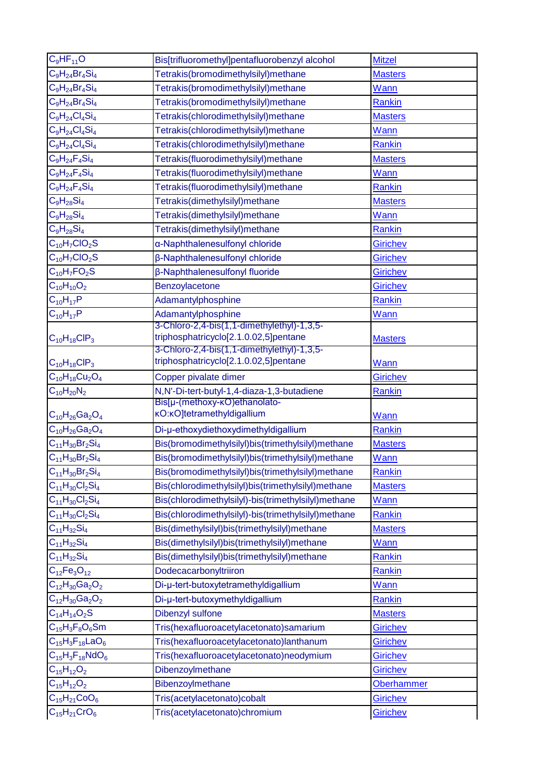| $C_9HF_{11}O$                              | Bis[trifluoromethyl]pentafluorobenzyl alcohol                                       | <b>Mitzel</b>               |
|--------------------------------------------|-------------------------------------------------------------------------------------|-----------------------------|
| $C_9H_{24}Br_4Si_4$                        | Tetrakis(bromodimethylsilyl)methane                                                 | <b>Masters</b>              |
| $C_9H_{24}Br_4Si_4$                        | Tetrakis(bromodimethylsilyl)methane                                                 | Wann                        |
| $C_9H_{24}Br_4Si_4$                        | Tetrakis(bromodimethylsilyl)methane                                                 | <b>Rankin</b>               |
| $C_9H_{24}Cl_4Si_4$                        | Tetrakis(chlorodimethylsilyl)methane                                                | <b>Masters</b>              |
| $C_9H_{24}Cl_4Si_4$                        | Tetrakis(chlorodimethylsilyl)methane                                                | Wann                        |
| $C_9H_{24}Cl_4Si_4$                        | Tetrakis(chlorodimethylsilyl)methane                                                | <b>Rankin</b>               |
| $C_9H_{24}F_4Si_4$                         | Tetrakis(fluorodimethylsilyl)methane                                                | <b>Masters</b>              |
| $C_9H_{24}F_4Si_4$                         | Tetrakis(fluorodimethylsilyl)methane                                                | Wann                        |
| $C_9H_{24}F_4Si_4$                         | Tetrakis(fluorodimethylsilyl)methane                                                | <b>Rankin</b>               |
| $C_9H_{28}Si_4$                            | Tetrakis(dimethylsilyl)methane                                                      | <b>Masters</b>              |
| $C_9H_{28}Si_4$                            | Tetrakis(dimethylsilyl)methane                                                      | Wann                        |
| $C_9H_{28}Si_4$                            | Tetrakis(dimethylsilyl)methane                                                      | Rankin                      |
| $C_{10}H_7ClO_2S$                          | a-Naphthalenesulfonyl chloride                                                      | Girichev                    |
| $C_{10}H_7ClO_2S$                          | β-Naphthalenesulfonyl chloride                                                      | <b>Girichev</b>             |
| $C_{10}H_7FO_2S$                           | <b>β-Naphthalenesulfonyl fluoride</b>                                               | <b>Girichev</b>             |
| $C_{10}H_{10}O_2$                          | Benzoylacetone                                                                      | <b>Girichev</b>             |
| $C_{10}H_{17}P$                            | Adamantylphosphine                                                                  | <b>Rankin</b>               |
| $C_{10}H_{17}P$                            | Adamantylphosphine                                                                  | <b>Wann</b>                 |
|                                            | 3-Chloro-2,4-bis(1,1-dimethylethyl)-1,3,5-                                          |                             |
| $C_{10}H_{18}CIP_3$                        | triphosphatricyclo[2.1.0.02,5]pentane<br>3-Chloro-2,4-bis(1,1-dimethylethyl)-1,3,5- | <b>Masters</b>              |
| $C_{10}H_{18}CIP_3$                        | triphosphatricyclo[2.1.0.02,5]pentane                                               | Wann                        |
| $C_{10}H_{18}Cu_2O_4$                      | Copper pivalate dimer                                                               | <b>Girichev</b>             |
| $C_{10}H_{20}N_2$                          | N,N'-Di-tert-butyl-1,4-diaza-1,3-butadiene                                          | Rankin                      |
|                                            | Bis[µ-(methoxy-kO)ethanolato-                                                       |                             |
| $C_{10}H_{26}Ga_2O_4$                      | <b>KO:KO]tetramethyldigallium</b>                                                   | Wann                        |
| $C_{10}H_{26}Ga_2O_4$                      | Di-µ-ethoxydiethoxydimethyldigallium                                                | <b>Rankin</b>               |
| $C_{11}H_{30}Br_2Si_4$                     | Bis(bromodimethylsilyl)bis(trimethylsilyl)methane                                   | <b>Masters</b>              |
| $C_{11}H_{30}Br_2Si_4$                     | Bis(bromodimethylsilyl)bis(trimethylsilyl)methane                                   | <b>Wann</b>                 |
| $C_{11}H_{30}Br_2Si_4$                     | Bis(bromodimethylsilyl)bis(trimethylsilyl)methane                                   | <b>Rankin</b>               |
| $C_{11}H_{30}Cl_2Si_4$                     | Bis(chlorodimethylsilyl)bis(trimethylsilyl)methane                                  | <b>Masters</b>              |
| $C_{11}H_{30}Cl_2Si_4$                     | Bis(chlorodimethylsilyl)-bis(trimethylsilyl)methane                                 | Wann                        |
| $C_{11}H_{30}Cl_2Si_4$                     |                                                                                     |                             |
|                                            | Bis(chlorodimethylsilyl)-bis(trimethylsilyl)methane                                 | Rankin                      |
| $C_{11}H_{32}Si_4$                         | Bis(dimethylsilyl)bis(trimethylsilyl)methane                                        | <b>Masters</b>              |
| $C_{11}H_{32}Si_4$                         | Bis(dimethylsilyl)bis(trimethylsilyl)methane                                        | Wann                        |
| $C_{11}H_{32}Si_4$                         | Bis(dimethylsilyl)bis(trimethylsilyl)methane                                        | Rankin                      |
| $C_{12}Fe_{3}O_{12}$                       | Dodecacarbonyltriiron                                                               | Rankin                      |
| $C_{12}H_{30}Ga_2O_2$                      | Di-µ-tert-butoxytetramethyldigallium                                                | Wann                        |
| $C_{12}H_{30}Ga_2O_2$                      | Di-µ-tert-butoxymethyldigallium                                                     | <b>Rankin</b>               |
| $C_{14}H_{14}O_2S$                         | Dibenzyl sulfone                                                                    | <b>Masters</b>              |
| $C_{15}H_3F_8O_6Sm$                        | Tris(hexafluoroacetylacetonato)samarium                                             | <b>Girichev</b>             |
| $C_{15}H_3F_{18}LaO_6$                     | Tris(hexafluoroacetylacetonato)lanthanum                                            | Girichev                    |
| $C_{15}H_3F_{18}NdO_6$                     | Tris(hexafluoroacetylacetonato)neodymium                                            | Girichev                    |
| $C_{15}H_{12}O_2$                          | Dibenzoylmethane                                                                    | <b>Girichev</b>             |
| $C_{15}H_{12}O_2$                          | Bibenzoylmethane                                                                    | <b>Oberhammer</b>           |
| $C_{15}H_{21}CoO_6$<br>$C_{15}H_{21}CrO_6$ | Tris(acetylacetonato)cobalt                                                         | <b>Girichev</b><br>Girichev |